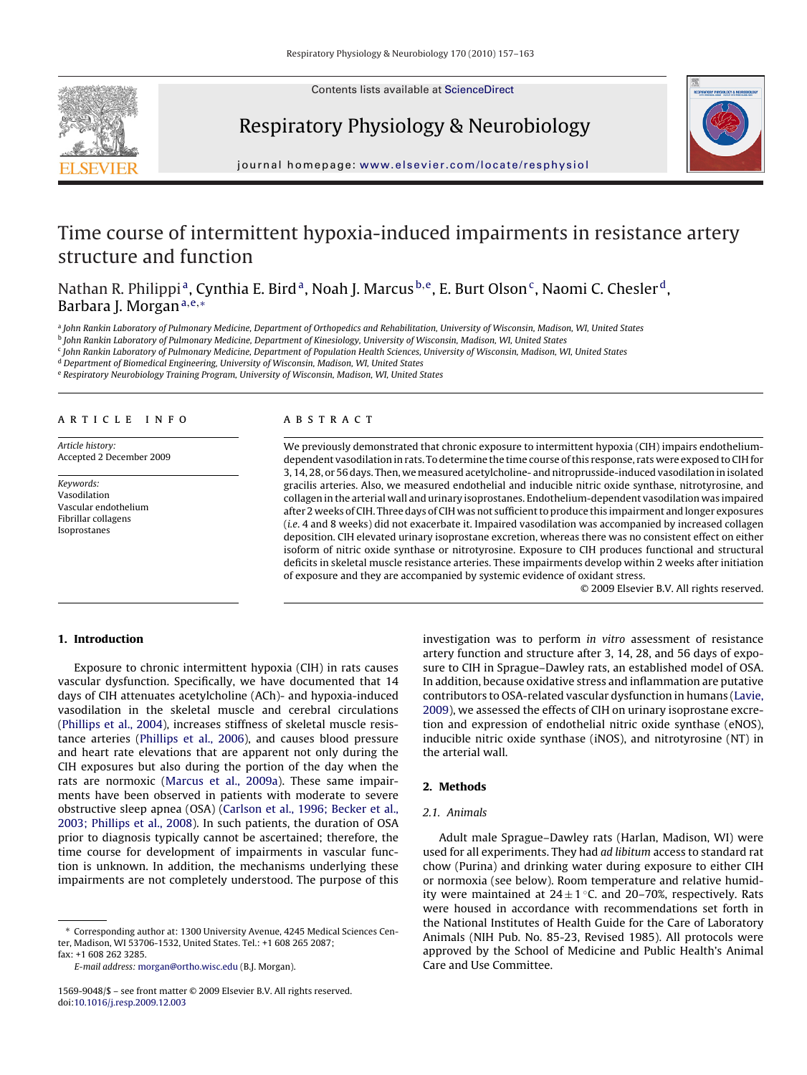Contents lists available at [ScienceDirect](http://www.sciencedirect.com/science/journal/15699048)





Respiratory Physiology & Neurobiology

journal homepage: [www.elsevier.com/locate/resphysiol](http://www.elsevier.com/locate/resphysiol)

# Time course of intermittent hypoxia-induced impairments in resistance artery structure and function

Nathan R. Philippi<sup>a</sup>, Cynthia E. Bird<sup>a</sup>, Noah J. Marcus <sup>b,e</sup>, E. Burt Olson<sup>c</sup>, Naomi C. Chesler<sup>d</sup>, Barbara J. Morgan<sup>a, e,</sup> \*

a John Rankin Laboratory of Pulmonary Medicine, Department of Orthopedics and Rehabilitation, University of Wisconsin, Madison, WI, United States

<sup>b</sup> John Rankin Laboratory of Pulmonary Medicine, Department of Kinesiology, University of Wisconsin, Madison, WI, United States

<sup>c</sup> John Rankin Laboratory of Pulmonary Medicine, Department of Population Health Sciences, University of Wisconsin, Madison, WI, United States

<sup>d</sup> Department of Biomedical Engineering, University of Wisconsin, Madison, WI, United States

<sup>e</sup> Respiratory Neurobiology Training Program, University of Wisconsin, Madison, WI, United States

# article info

Article history: Accepted 2 December 2009

Keywords: Vasodilation Vascular endothelium Fibrillar collagens Isoprostanes

# ABSTRACT

We previously demonstrated that chronic exposure to intermittent hypoxia (CIH) impairs endotheliumdependent vasodilation in rats. To determine the time course of this response, rats were exposed to CIH for 3, 14, 28, or 56 days. Then, we measured acetylcholine- and nitroprusside-induced vasodilation in isolated gracilis arteries. Also, we measured endothelial and inducible nitric oxide synthase, nitrotyrosine, and collagen in the arterial wall and urinary isoprostanes. Endothelium-dependent vasodilation was impaired after 2 weeks of CIH. Three days of CIH was not sufficient to produce this impairment and longer exposures (i.e. 4 and 8 weeks) did not exacerbate it. Impaired vasodilation was accompanied by increased collagen deposition. CIH elevated urinary isoprostane excretion, whereas there was no consistent effect on either isoform of nitric oxide synthase or nitrotyrosine. Exposure to CIH produces functional and structural deficits in skeletal muscle resistance arteries. These impairments develop within 2 weeks after initiation of exposure and they are accompanied by systemic evidence of oxidant stress.

© 2009 Elsevier B.V. All rights reserved.

# **1. Introduction**

Exposure to chronic intermittent hypoxia (CIH) in rats causes vascular dysfunction. Specifically, we have documented that 14 days of CIH attenuates acetylcholine (ACh)- and hypoxia-induced vasodilation in the skeletal muscle and cerebral circulations ([Phillips et al., 2004\),](#page-6-0) increases stiffness of skeletal muscle resistance arteries [\(Phillips et al., 2006\),](#page-6-0) and causes blood pressure and heart rate elevations that are apparent not only during the CIH exposures but also during the portion of the day when the rats are normoxic [\(Marcus et al., 2009a\).](#page-6-0) These same impairments have been observed in patients with moderate to severe obstructive sleep apnea (OSA) ([Carlson et al., 1996; Becker et al.,](#page-6-0) [2003; Phillips et al., 2008\).](#page-6-0) In such patients, the duration of OSA prior to diagnosis typically cannot be ascertained; therefore, the time course for development of impairments in vascular function is unknown. In addition, the mechanisms underlying these impairments are not completely understood. The purpose of this

fax: +1 608 262 3285.

E-mail address: [morgan@ortho.wisc.edu](mailto:morgan@ortho.wisc.edu) (B.J. Morgan).

investigation was to perform in vitro assessment of resistance artery function and structure after 3, 14, 28, and 56 days of exposure to CIH in Sprague–Dawley rats, an established model of OSA. In addition, because oxidative stress and inflammation are putative contributors to OSA-related vascular dysfunction in humans [\(Lavie,](#page-6-0) [2009\),](#page-6-0) we assessed the effects of CIH on urinary isoprostane excretion and expression of endothelial nitric oxide synthase (eNOS), inducible nitric oxide synthase (iNOS), and nitrotyrosine (NT) in the arterial wall.

# **2. Methods**

## 2.1. Animals

Adult male Sprague–Dawley rats (Harlan, Madison, WI) were used for all experiments. They had ad libitum access to standard rat chow (Purina) and drinking water during exposure to either CIH or normoxia (see below). Room temperature and relative humidity were maintained at  $24 \pm 1$  °C, and 20–70%, respectively. Rats were housed in accordance with recommendations set forth in the National Institutes of Health Guide for the Care of Laboratory Animals (NIH Pub. No. 85-23, Revised 1985). All protocols were approved by the School of Medicine and Public Health's Animal Care and Use Committee.

<sup>∗</sup> Corresponding author at: 1300 University Avenue, 4245 Medical Sciences Center, Madison, WI 53706-1532, United States. Tel.: +1 608 265 2087;

<sup>1569-9048/\$ –</sup> see front matter © 2009 Elsevier B.V. All rights reserved. doi:[10.1016/j.resp.2009.12.003](dx.doi.org/10.1016/j.resp.2009.12.003)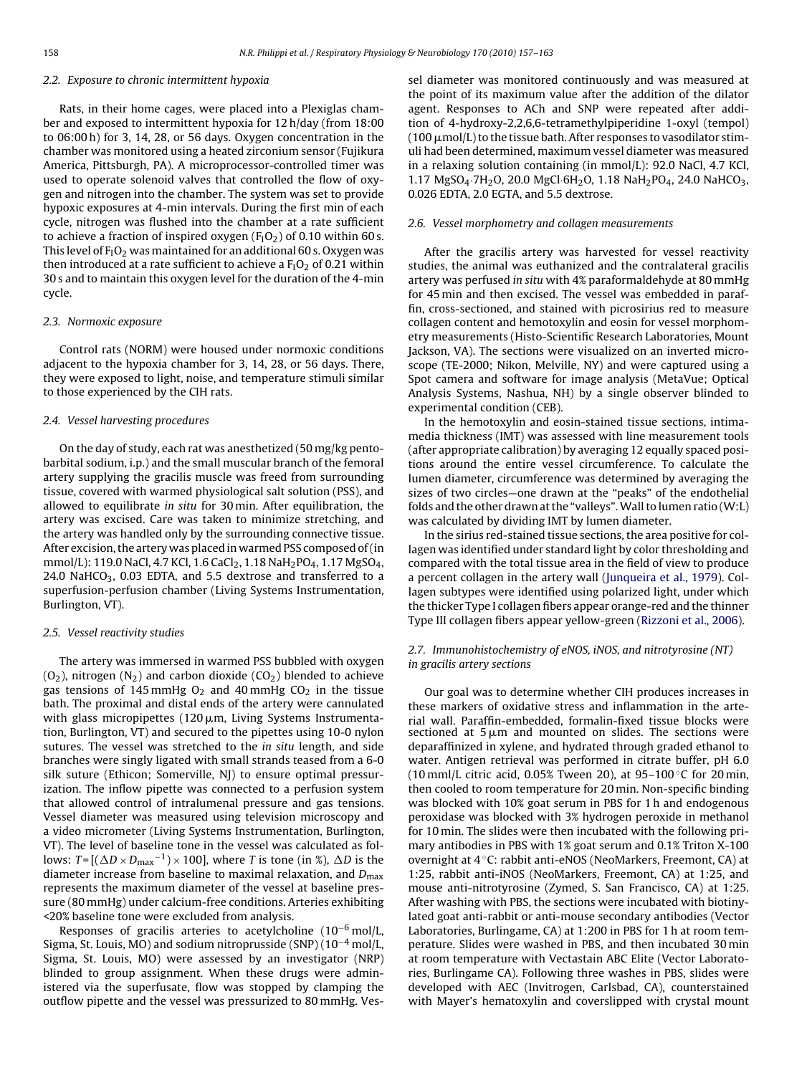#### 2.2. Exposure to chronic intermittent hypoxia

Rats, in their home cages, were placed into a Plexiglas chamber and exposed to intermittent hypoxia for 12 h/day (from 18:00 to 06:00 h) for 3, 14, 28, or 56 days. Oxygen concentration in the chamber was monitored using a heated zirconium sensor (Fujikura America, Pittsburgh, PA). A microprocessor-controlled timer was used to operate solenoid valves that controlled the flow of oxygen and nitrogen into the chamber. The system was set to provide hypoxic exposures at 4-min intervals. During the first min of each cycle, nitrogen was flushed into the chamber at a rate sufficient to achieve a fraction of inspired oxygen  $(F_1O_2)$  of 0.10 within 60 s. This level of  $F_1O_2$  was maintained for an additional 60 s. Oxygen was then introduced at a rate sufficient to achieve a  $F_1O_2$  of 0.21 within 30 s and to maintain this oxygen level for the duration of the 4-min cycle.

## 2.3. Normoxic exposure

Control rats (NORM) were housed under normoxic conditions adjacent to the hypoxia chamber for 3, 14, 28, or 56 days. There, they were exposed to light, noise, and temperature stimuli similar to those experienced by the CIH rats.

#### 2.4. Vessel harvesting procedures

On the day of study, each rat was anesthetized (50 mg/kg pentobarbital sodium, i.p.) and the small muscular branch of the femoral artery supplying the gracilis muscle was freed from surrounding tissue, covered with warmed physiological salt solution (PSS), and allowed to equilibrate in situ for 30 min. After equilibration, the artery was excised. Care was taken to minimize stretching, and the artery was handled only by the surrounding connective tissue. After excision, the artery was placed in warmed PSS composed of (in mmol/L): 119.0 NaCl, 4.7 KCl, 1.6 CaCl<sub>2</sub>, 1.18 NaH<sub>2</sub>PO<sub>4</sub>, 1.17 MgSO<sub>4</sub>, 24.0 NaHCO<sub>3</sub>, 0.03 EDTA, and 5.5 dextrose and transferred to a superfusion-perfusion chamber (Living Systems Instrumentation, Burlington, VT).

## 2.5. Vessel reactivity studies

The artery was immersed in warmed PSS bubbled with oxygen  $(O_2)$ , nitrogen  $(N_2)$  and carbon dioxide  $(CO_2)$  blended to achieve gas tensions of 145 mmHg  $O_2$  and 40 mmHg  $CO_2$  in the tissue bath. The proximal and distal ends of the artery were cannulated with glass micropipettes (120 $\mu$ m, Living Systems Instrumentation, Burlington, VT) and secured to the pipettes using 10-0 nylon sutures. The vessel was stretched to the in situ length, and side branches were singly ligated with small strands teased from a 6-0 silk suture (Ethicon; Somerville, NJ) to ensure optimal pressurization. The inflow pipette was connected to a perfusion system that allowed control of intralumenal pressure and gas tensions. Vessel diameter was measured using television microscopy and a video micrometer (Living Systems Instrumentation, Burlington, VT). The level of baseline tone in the vessel was calculated as follows:  $T = [(\Delta D \times D_{\text{max}}^{-1}) \times 100]$ , where T is tone (in %),  $\Delta D$  is the diameter increase from baseline to maximal relaxation, and  $D_{\text{max}}$ represents the maximum diameter of the vessel at baseline pressure (80 mmHg) under calcium-free conditions. Arteries exhibiting <20% baseline tone were excluded from analysis.

Responses of gracilis arteries to acetylcholine  $(10^{-6} \text{ mol/L}$ , Sigma, St. Louis, MO) and sodium nitroprusside (SNP) (10−<sup>4</sup> mol/L, Sigma, St. Louis, MO) were assessed by an investigator (NRP) blinded to group assignment. When these drugs were administered via the superfusate, flow was stopped by clamping the outflow pipette and the vessel was pressurized to 80 mmHg. Vessel diameter was monitored continuously and was measured at the point of its maximum value after the addition of the dilator agent. Responses to ACh and SNP were repeated after addition of 4-hydroxy-2,2,6,6-tetramethylpiperidine 1-oxyl (tempol) ( 100  $\mu$ mol/L) to the tissue bath. After responses to vasodilator stimuli had been determined, maximum vessel diameter was measured in a relaxing solution containing (in mmol/L): 92.0 NaCl, 4.7 KCl, 1.17 MgSO<sub>4</sub>·7H<sub>2</sub>O, 20.0 MgCl·6H<sub>2</sub>O, 1.18 NaH<sub>2</sub>PO<sub>4</sub>, 24.0 NaHCO<sub>3</sub>, 0.026 EDTA, 2.0 EGTA, and 5.5 dextrose.

# 2.6. Vessel morphometry and collagen measurements

After the gracilis artery was harvested for vessel reactivity studies, the animal was euthanized and the contralateral gracilis artery was perfused in situ with 4% paraformaldehyde at 80 mmHg for 45 min and then excised. The vessel was embedded in paraffin, cross-sectioned, and stained with picrosirius red to measure collagen content and hemotoxylin and eosin for vessel morphometry measurements (Histo-Scientific Research Laboratories, Mount Jackson, VA). The sections were visualized on an inverted microscope (TE-2000; Nikon, Melville, NY) and were captured using a Spot camera and software for image analysis (MetaVue; Optical Analysis Systems, Nashua, NH) by a single observer blinded to experimental condition (CEB).

In the hemotoxylin and eosin-stained tissue sections, intimamedia thickness (IMT) was assessed with line measurement tools (after appropriate calibration) by averaging 12 equally spaced positions around the entire vessel circumference. To calculate the lumen diameter, circumference was determined by averaging the sizes of two circles—one drawn at the "peaks" of the endothelial folds and the other drawn at the "valleys".Wall to lumen ratio (W:L) was calculated by dividing IMT by lumen diameter.

In the sirius red-stained tissue sections, the area positive for collagen was identified under standard light by color thresholding and compared with the total tissue area in the field of view to produce a percent collagen in the artery wall ([Junqueira et al., 1979\).](#page-6-0) Collagen subtypes were identified using polarized light, under which the thicker Type I collagen fibers appear orange-red and the thinner Type III collagen fibers appear yellow-green [\(Rizzoni et al., 2006\).](#page-6-0)

# 2.7. Immunohistochemistry of eNOS, iNOS, and nitrotyrosine (NT) in gracilis artery sections

Our goal was to determine whether CIH produces increases in these markers of oxidative stress and inflammation in the arterial wall. Paraffin-embedded, formalin-fixed tissue blocks were sectioned at  $5 \mu m$  and mounted on slides. The sections were deparaffinized in xylene, and hydrated through graded ethanol to water. Antigen retrieval was performed in citrate buffer, pH 6.0 (10 mml/L citric acid, 0.05% Tween 20), at 95-100 °C for 20 min, then cooled to room temperature for 20 min. Non-specific binding was blocked with 10% goat serum in PBS for 1 h and endogenous peroxidase was blocked with 3% hydrogen peroxide in methanol for 10 min. The slides were then incubated with the following primary antibodies in PBS with 1% goat serum and 0.1% Triton X-100 overnight at 4 ◦C: rabbit anti-eNOS (NeoMarkers, Freemont, CA) at 1:25, rabbit anti-iNOS (NeoMarkers, Freemont, CA) at 1:25, and mouse anti-nitrotyrosine (Zymed, S. San Francisco, CA) at 1:25. After washing with PBS, the sections were incubated with biotinylated goat anti-rabbit or anti-mouse secondary antibodies (Vector Laboratories, Burlingame, CA) at 1:200 in PBS for 1 h at room temperature. Slides were washed in PBS, and then incubated 30 min at room temperature with Vectastain ABC Elite (Vector Laboratories, Burlingame CA). Following three washes in PBS, slides were developed with AEC (Invitrogen, Carlsbad, CA), counterstained with Mayer's hematoxylin and coverslipped with crystal mount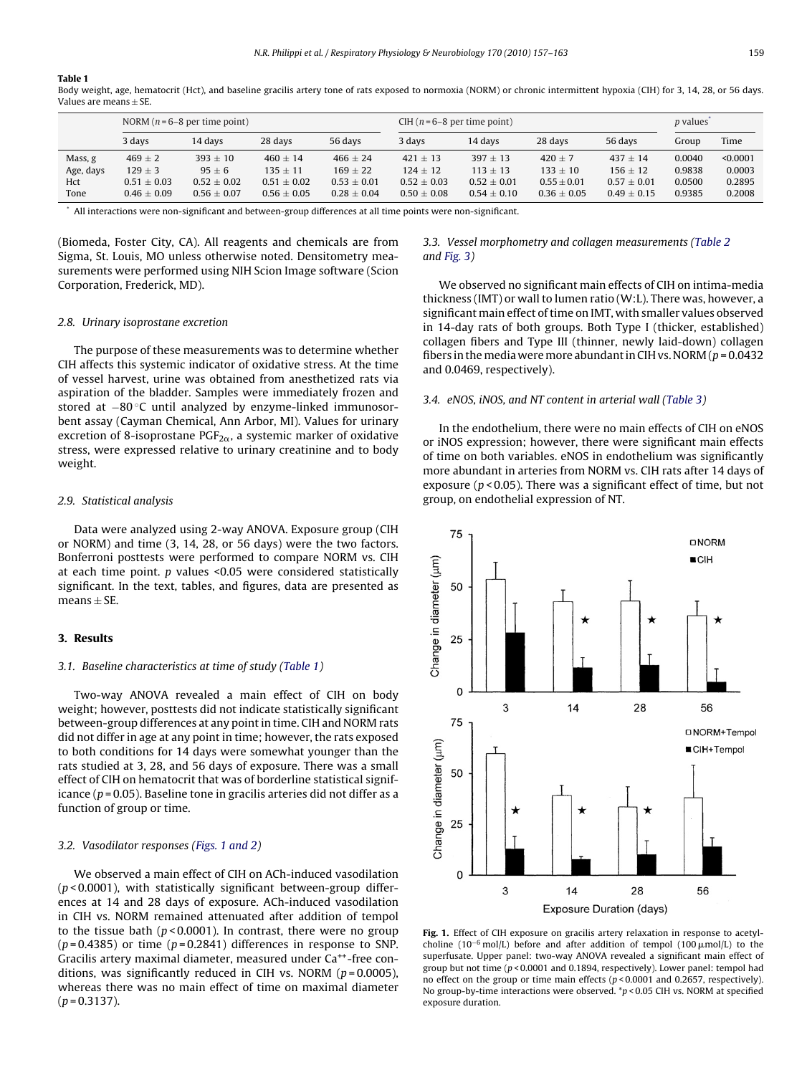#### **Table 1**

Body weight, age, hematocrit (Hct), and baseline gracilis artery tone of rats exposed to normoxia (NORM) or chronic intermittent hypoxia (CIH) for 3, 14, 28, or 56 days. Values are means  $\pm$  SE.

|           | NORM $(n=6-8$ per time point) |                 |                 |                 | CIH $(n=6-8$ per time point) |                 |                 |                 | <i>p</i> values |          |
|-----------|-------------------------------|-----------------|-----------------|-----------------|------------------------------|-----------------|-----------------|-----------------|-----------------|----------|
|           | 3 days                        | 14 days         | 28 days         | 56 days         | 3 days                       | 14 davs         | 28 days         | 56 days         | Group           | Time     |
| Mass, g   | $469 \pm 2$                   | $393 + 10$      | $460 + 14$      | $466 \pm 24$    | $421 + 13$                   | $397 + 13$      | $420 + 7$       | $437 + 14$      | 0.0040          | < 0.0001 |
| Age, days | $129 \pm 3$                   | $95 + 6$        | $135 + 11$      | $169 + 22$      | $124 + 12$                   | $113 + 13$      | $133 + 10$      | $156 + 12$      | 0.9838          | 0.0003   |
| Hct       | $0.51 \pm 0.03$               | $0.52 \pm 0.02$ | $0.51 \pm 0.02$ | $0.53 \pm 0.01$ | $0.52 \pm 0.03$              | $0.52 \pm 0.01$ | $0.55 \pm 0.01$ | $0.57 \pm 0.01$ | 0.0500          | 0.2895   |
| Tone      | $0.46 \pm 0.09$               | $0.56 + 0.07$   | $0.56 \pm 0.05$ | $0.28 + 0.04$   | $0.50 + 0.08$                | $0.54 \pm 0.10$ | $0.36 + 0.05$   | $0.49 + 0.15$   | 0.9385          | 0.2008   |

\* All interactions were non-significant and between-group differences at all time points were non-significant.

(Biomeda, Foster City, CA). All reagents and chemicals are from Sigma, St. Louis, MO unless otherwise noted. Densitometry measurements were performed using NIH Scion Image software (Scion Corporation, Frederick, MD).

## 2.8. Urinary isoprostane excretion

The purpose of these measurements was to determine whether CIH affects this systemic indicator of oxidative stress. At the time of vessel harvest, urine was obtained from anesthetized rats via aspiration of the bladder. Samples were immediately frozen and stored at −80 ◦C until analyzed by enzyme-linked immunosorbent assay (Cayman Chemical, Ann Arbor, MI). Values for urinary excretion of 8-isoprostane  $PGF_{2\alpha}$ , a systemic marker of oxidative stress, were expressed relative to urinary creatinine and to body weight.

#### 2.9. Statistical analysis

Data were analyzed using 2-way ANOVA. Exposure group (CIH or NORM) and time (3, 14, 28, or 56 days) were the two factors. Bonferroni posttests were performed to compare NORM vs. CIH at each time point.  $p$  values <0.05 were considered statistically significant. In the text, tables, and figures, data are presented as means  $\pm$  SE.

# **3. Results**

## 3.1. Baseline characteristics at time of study (Table 1)

Two-way ANOVA revealed a main effect of CIH on body weight; however, posttests did not indicate statistically significant between-group differences at any point in time. CIH and NORM rats did not differ in age at any point in time; however, the rats exposed to both conditions for 14 days were somewhat younger than the rats studied at 3, 28, and 56 days of exposure. There was a small effect of CIH on hematocrit that was of borderline statistical significance ( $p = 0.05$ ). Baseline tone in gracilis arteries did not differ as a function of group or time.

## 3.2. Vasodilator responses (Figs. 1 and 2)

We observed a main effect of CIH on ACh-induced vasodilation  $(p < 0.0001)$ , with statistically significant between-group differences at 14 and 28 days of exposure. ACh-induced vasodilation in CIH vs. NORM remained attenuated after addition of tempol to the tissue bath ( $p$ <0.0001). In contrast, there were no group  $(p=0.4385)$  or time  $(p=0.2841)$  differences in response to SNP. Gracilis artery maximal diameter, measured under Ca<sup>++</sup>-free conditions, was significantly reduced in CIH vs. NORM ( $p = 0.0005$ ), whereas there was no main effect of time on maximal diameter  $(p = 0.3137)$ .

# 3.3. Vessel morphometry and collagen measurements [\(Table 2](#page-3-0) and [Fig. 3\)](#page-3-0)

We observed no significant main effects of CIH on intima-media thickness (IMT) or wall to lumen ratio (W:L). There was, however, a significant main effect of time on IMT, with smaller values observed in 14-day rats of both groups. Both Type I (thicker, established) collagen fibers and Type III (thinner, newly laid-down) collagen fibers in the media were more abundant in CIH vs. NORM ( $p = 0.0432$ ) and 0.0469, respectively).

#### 3.4. eNOS, iNOS, and NT content in arterial wall [\(Table 3\)](#page-4-0)

In the endothelium, there were no main effects of CIH on eNOS or iNOS expression; however, there were significant main effects of time on both variables. eNOS in endothelium was significantly more abundant in arteries from NORM vs. CIH rats after 14 days of exposure ( $p < 0.05$ ). There was a significant effect of time, but not group, on endothelial expression of NT.



**Fig. 1.** Effect of CIH exposure on gracilis artery relaxation in response to acetylcholine (10<sup>-6</sup> mol/L) before and after addition of tempol (100  $\mu$ mol/L) to the superfusate. Upper panel: two-way ANOVA revealed a significant main effect of group but not time ( $p < 0.0001$  and 0.1894, respectively). Lower panel: tempol had no effect on the group or time main effects (p < 0.0001 and 0.2657, respectively). No group-by-time interactions were observed. \*p < 0.05 CIH vs. NORM at specified exposure duration.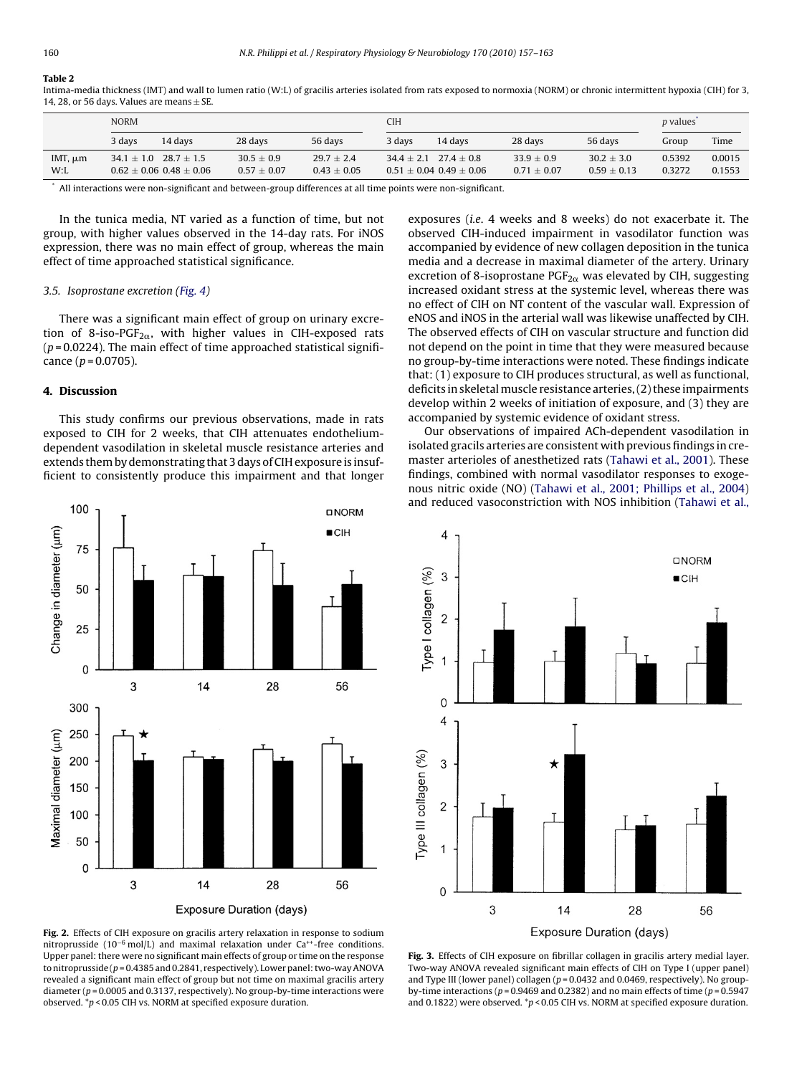# <span id="page-3-0"></span>**Table 2**

Intima-media thickness (IMT) and wall to lumen ratio (W:L) of gracilis arteries isolated from rats exposed to normoxia (NORM) or chronic intermittent hypoxia (CIH) for 3, 14, 28, or 56 days. Values are means  $\pm$  SE.

|                      | <b>NORM</b> |                                                                  |                                   |                                 | CIH    |                                                              |                                 |                               | <i>p</i> values <sup>*</sup> |                  |
|----------------------|-------------|------------------------------------------------------------------|-----------------------------------|---------------------------------|--------|--------------------------------------------------------------|---------------------------------|-------------------------------|------------------------------|------------------|
|                      | 3 davs      | 14 davs                                                          | 28 days                           | 56 days                         | 3 davs | 14 davs                                                      | 28 days                         | 56 days                       | Group                        | Time             |
| IMT, $\mu$ m<br>W: L |             | $34.1 \pm 1.0$ 28.7 $\pm 1.5$<br>$0.62 \pm 0.06$ 0.48 $\pm$ 0.06 | $30.5 \pm 0.9$<br>$0.57 \pm 0.07$ | $29.7 + 2.4$<br>$0.43 \pm 0.05$ |        | $34.4 + 2.1$ $27.4 + 0.8$<br>$0.51 \pm 0.04$ $0.49 \pm 0.06$ | $33.9 + 0.9$<br>$0.71 \pm 0.07$ | $30.2 + 3.0$<br>$0.59 + 0.13$ | 0.5392<br>0.3272             | 0.0015<br>0.1553 |

\* All interactions were non-significant and between-group differences at all time points were non-significant.

In the tunica media, NT varied as a function of time, but not group, with higher values observed in the 14-day rats. For iNOS expression, there was no main effect of group, whereas the main effect of time approached statistical significance.

#### 3.5. Isoprostane excretion ([Fig. 4\)](#page-4-0)

There was a significant main effect of group on urinary excretion of 8-iso-PGF<sub>2 $\alpha$ </sub>, with higher values in CIH-exposed rats  $(p=0.0224)$ . The main effect of time approached statistical significance  $(p = 0.0705)$ .

## **4. Discussion**

This study confirms our previous observations, made in rats exposed to CIH for 2 weeks, that CIH attenuates endotheliumdependent vasodilation in skeletal muscle resistance arteries and extends them by demonstrating that 3 days of CIH exposure is insufficient to consistently produce this impairment and that longer



**Fig. 2.** Effects of CIH exposure on gracilis artery relaxation in response to sodium nitroprusside (10<sup>-6</sup> mol/L) and maximal relaxation under Ca<sup>++</sup>-free conditions. Upper panel: there were no significant main effects of group or time on the response to nitroprusside (p = 0.4385 and 0.2841, respectively). Lower panel: two-way ANOVA revealed a significant main effect of group but not time on maximal gracilis artery diameter ( $p$  = 0.0005 and 0.3137, respectively). No group-by-time interactions were observed. \*p < 0.05 CIH vs. NORM at specified exposure duration.

exposures (i.e. 4 weeks and 8 weeks) do not exacerbate it. The observed CIH-induced impairment in vasodilator function was accompanied by evidence of new collagen deposition in the tunica media and a decrease in maximal diameter of the artery. Urinary excretion of 8-isoprostane  $PGF_{2\alpha}$  was elevated by CIH, suggesting increased oxidant stress at the systemic level, whereas there was no effect of CIH on NT content of the vascular wall. Expression of eNOS and iNOS in the arterial wall was likewise unaffected by CIH. The observed effects of CIH on vascular structure and function did not depend on the point in time that they were measured because no group-by-time interactions were noted. These findings indicate that: (1) exposure to CIH produces structural, as well as functional, deficits in skeletal muscle resistance arteries, (2) these impairments develop within 2 weeks of initiation of exposure, and (3) they are accompanied by systemic evidence of oxidant stress.

Our observations of impaired ACh-dependent vasodilation in isolated gracils arteries are consistent with previous findings in cremaster arterioles of anesthetized rats ([Tahawi et al., 2001\).](#page-6-0) These findings, combined with normal vasodilator responses to exogenous nitric oxide (NO) ([Tahawi et al., 2001; Phillips et al., 2004\)](#page-6-0) and reduced vasoconstriction with NOS inhibition [\(Tahawi et al.,](#page-6-0)



**Fig. 3.** Effects of CIH exposure on fibrillar collagen in gracilis artery medial layer. Two-way ANOVA revealed significant main effects of CIH on Type I (upper panel) and Type III (lower panel) collagen  $(p = 0.0432$  and 0.0469, respectively). No groupby-time interactions ( $p = 0.9469$  and 0.2382) and no main effects of time ( $p = 0.5947$ and 0.1822) were observed.  $\sp{*}p$  < 0.05 CIH vs. NORM at specified exposure duration.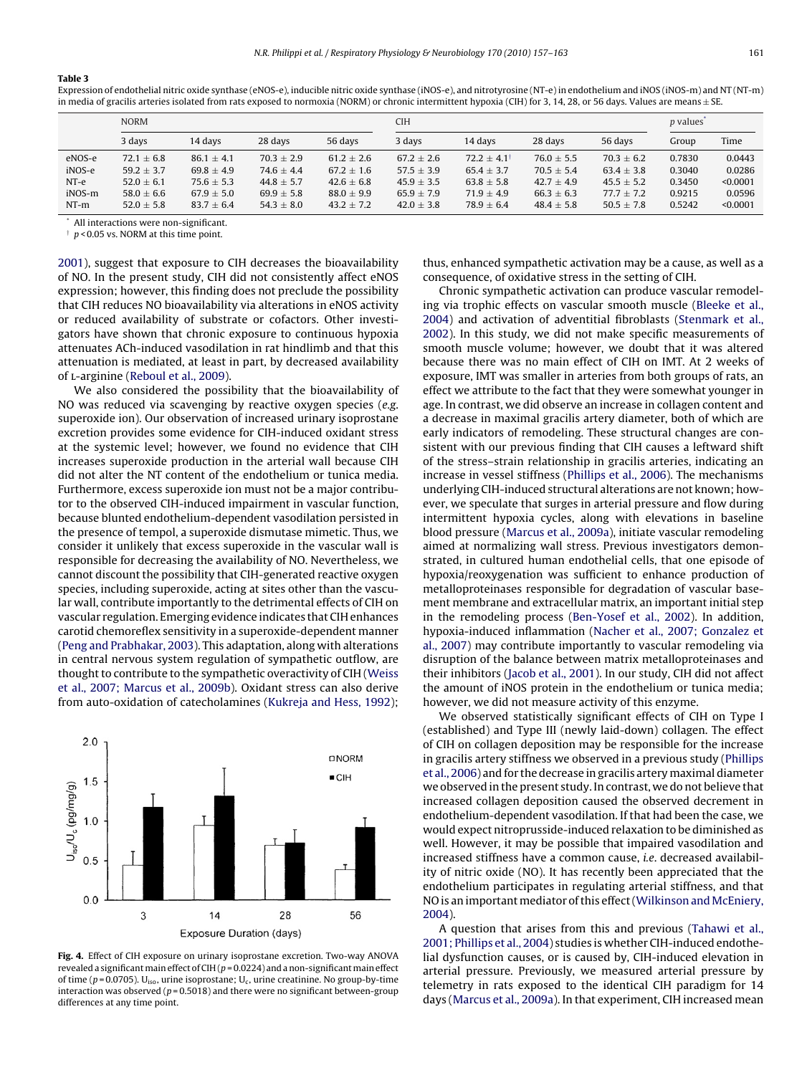#### <span id="page-4-0"></span>**Table 3**

Expression of endothelial nitric oxide synthase (eNOS-e), inducible nitric oxide synthase (iNOS-e), and nitrotyrosine (NT-e) in endothelium and iNOS (iNOS-m) and NT (NT-m) in media of gracilis arteries isolated from rats exposed to normoxia (NORM) or chronic intermittent hypoxia (CIH) for 3, 14, 28, or 56 days. Values are means  $\pm$  SE.

|        | <b>NORM</b>    |                |                |                | <b>CIH</b>     |                        |                |                | <i>p</i> values <sup>*</sup> |          |  |
|--------|----------------|----------------|----------------|----------------|----------------|------------------------|----------------|----------------|------------------------------|----------|--|
|        | 3 days         | 14 davs        | 28 days        | 56 days        | 3 days         | 14 days                | 28 days        | 56 days        | Group                        | Time     |  |
| eNOS-e | $72.1 \pm 6.8$ | $86.1 + 4.1$   | $70.3 + 2.9$   | $61.2 + 2.6$   | $67.2 + 2.6$   | $72.2 + 4.1^{\dagger}$ | $76.0 \pm 5.5$ | $70.3 + 6.2$   | 0.7830                       | 0.0443   |  |
| iNOS-e | $59.2 \pm 3.7$ | $69.8 \pm 4.9$ | $74.6 \pm 4.4$ | $67.2 \pm 1.6$ | $57.5 \pm 3.9$ | $65.4 \pm 3.7$         | $70.5 \pm 5.4$ | $63.4 \pm 3.8$ | 0.3040                       | 0.0286   |  |
| NT-e   | $52.0 \pm 6.1$ | $75.6 \pm 5.3$ | $44.8 \pm 5.7$ | $42.6 \pm 6.8$ | $45.9 \pm 3.5$ | $63.8 \pm 5.8$         | $42.7 \pm 4.9$ | $45.5 \pm 5.2$ | 0.3450                       | < 0.0001 |  |
| iNOS-m | $58.0 \pm 6.6$ | $67.9 \pm 5.0$ | $69.9 \pm 5.8$ | $88.0 \pm 9.9$ | $65.9 \pm 7.9$ | $71.9 \pm 4.9$         | $66.3 \pm 6.3$ | $77.7 \pm 7.2$ | 0.9215                       | 0.0596   |  |
| $NT-m$ | $52.0 \pm 5.8$ | $83.7 \pm 6.4$ | $54.3 \pm 8.0$ | $43.2 \pm 7.2$ | $42.0 \pm 3.8$ | $78.9 + 6.4$           | $48.4 \pm 5.8$ | $50.5 \pm 7.8$ | 0.5242                       | < 0.0001 |  |

All interactions were non-significant.

 $p < 0.05$  vs. NORM at this time point.

[2001\),](#page-6-0) suggest that exposure to CIH decreases the bioavailability of NO. In the present study, CIH did not consistently affect eNOS expression; however, this finding does not preclude the possibility that CIH reduces NO bioavailability via alterations in eNOS activity or reduced availability of substrate or cofactors. Other investigators have shown that chronic exposure to continuous hypoxia attenuates ACh-induced vasodilation in rat hindlimb and that this attenuation is mediated, at least in part, by decreased availability of l-arginine ([Reboul et al., 2009\).](#page-6-0)

We also considered the possibility that the bioavailability of NO was reduced via scavenging by reactive oxygen species (e.g. superoxide ion). Our observation of increased urinary isoprostane excretion provides some evidence for CIH-induced oxidant stress at the systemic level; however, we found no evidence that CIH increases superoxide production in the arterial wall because CIH did not alter the NT content of the endothelium or tunica media. Furthermore, excess superoxide ion must not be a major contributor to the observed CIH-induced impairment in vascular function, because blunted endothelium-dependent vasodilation persisted in the presence of tempol, a superoxide dismutase mimetic. Thus, we consider it unlikely that excess superoxide in the vascular wall is responsible for decreasing the availability of NO. Nevertheless, we cannot discount the possibility that CIH-generated reactive oxygen species, including superoxide, acting at sites other than the vascular wall, contribute importantly to the detrimental effects of CIH on vascular regulation. Emerging evidence indicates that CIH enhances carotid chemoreflex sensitivity in a superoxide-dependent manner ([Peng and Prabhakar, 2003\).](#page-6-0) This adaptation, along with alterations in central nervous system regulation of sympathetic outflow, are thought to contribute to the sympathetic overactivity of CIH [\(Weiss](#page-6-0) [et al., 2007; Marcus et al., 2009b\).](#page-6-0) Oxidant stress can also derive from auto-oxidation of catecholamines ([Kukreja and Hess, 1992\);](#page-6-0)



**Fig. 4.** Effect of CIH exposure on urinary isoprostane excretion. Two-way ANOVA revealed a significant main effect of CIH ( $p = 0.0224$ ) and a non-significant main effect of time ( $p = 0.0705$ ). U<sub>iso</sub>, urine isoprostane; U<sub>c</sub>, urine creatinine. No group-by-time interaction was observed ( $p = 0.5018$ ) and there were no significant between-group differences at any time point.

thus, enhanced sympathetic activation may be a cause, as well as a consequence, of oxidative stress in the setting of CIH.

Chronic sympathetic activation can produce vascular remodeling via trophic effects on vascular smooth muscle [\(Bleeke et al.,](#page-6-0) [2004\)](#page-6-0) and activation of adventitial fibroblasts [\(Stenmark et al.,](#page-6-0) [2002\).](#page-6-0) In this study, we did not make specific measurements of smooth muscle volume; however, we doubt that it was altered because there was no main effect of CIH on IMT. At 2 weeks of exposure, IMT was smaller in arteries from both groups of rats, an effect we attribute to the fact that they were somewhat younger in age. In contrast, we did observe an increase in collagen content and a decrease in maximal gracilis artery diameter, both of which are early indicators of remodeling. These structural changes are consistent with our previous finding that CIH causes a leftward shift of the stress–strain relationship in gracilis arteries, indicating an increase in vessel stiffness ([Phillips et al., 2006\).](#page-6-0) The mechanisms underlying CIH-induced structural alterations are not known; however, we speculate that surges in arterial pressure and flow during intermittent hypoxia cycles, along with elevations in baseline blood pressure ([Marcus et al., 2009a\),](#page-6-0) initiate vascular remodeling aimed at normalizing wall stress. Previous investigators demonstrated, in cultured human endothelial cells, that one episode of hypoxia/reoxygenation was sufficient to enhance production of metalloproteinases responsible for degradation of vascular basement membrane and extracellular matrix, an important initial step in the remodeling process ([Ben-Yosef et al., 2002\).](#page-6-0) In addition, hypoxia-induced inflammation [\(Nacher et al., 2007; Gonzalez et](#page-6-0) [al., 2007\)](#page-6-0) may contribute importantly to vascular remodeling via disruption of the balance between matrix metalloproteinases and their inhibitors [\(Jacob et al., 2001\).](#page-6-0) In our study, CIH did not affect the amount of iNOS protein in the endothelium or tunica media; however, we did not measure activity of this enzyme.

We observed statistically significant effects of CIH on Type I (established) and Type III (newly laid-down) collagen. The effect of CIH on collagen deposition may be responsible for the increase in gracilis artery stiffness we observed in a previous study [\(Phillips](#page-6-0) [et al., 2006\) a](#page-6-0)nd for the decrease in gracilis artery maximal diameter we observed in the present study. In contrast, we do not believe that increased collagen deposition caused the observed decrement in endothelium-dependent vasodilation. If that had been the case, we would expect nitroprusside-induced relaxation to be diminished as well. However, it may be possible that impaired vasodilation and increased stiffness have a common cause, i.e. decreased availability of nitric oxide (NO). It has recently been appreciated that the endothelium participates in regulating arterial stiffness, and that NO is an important mediator of this effect (Wilkinson and McEniery, [2004\).](#page-6-0)

A question that arises from this and previous ([Tahawi et al.,](#page-6-0) [2001; Phillips et al., 2004\) s](#page-6-0)tudies is whether CIH-induced endothelial dysfunction causes, or is caused by, CIH-induced elevation in arterial pressure. Previously, we measured arterial pressure by telemetry in rats exposed to the identical CIH paradigm for 14 days [\(Marcus et al., 2009a\).](#page-6-0) In that experiment, CIH increased mean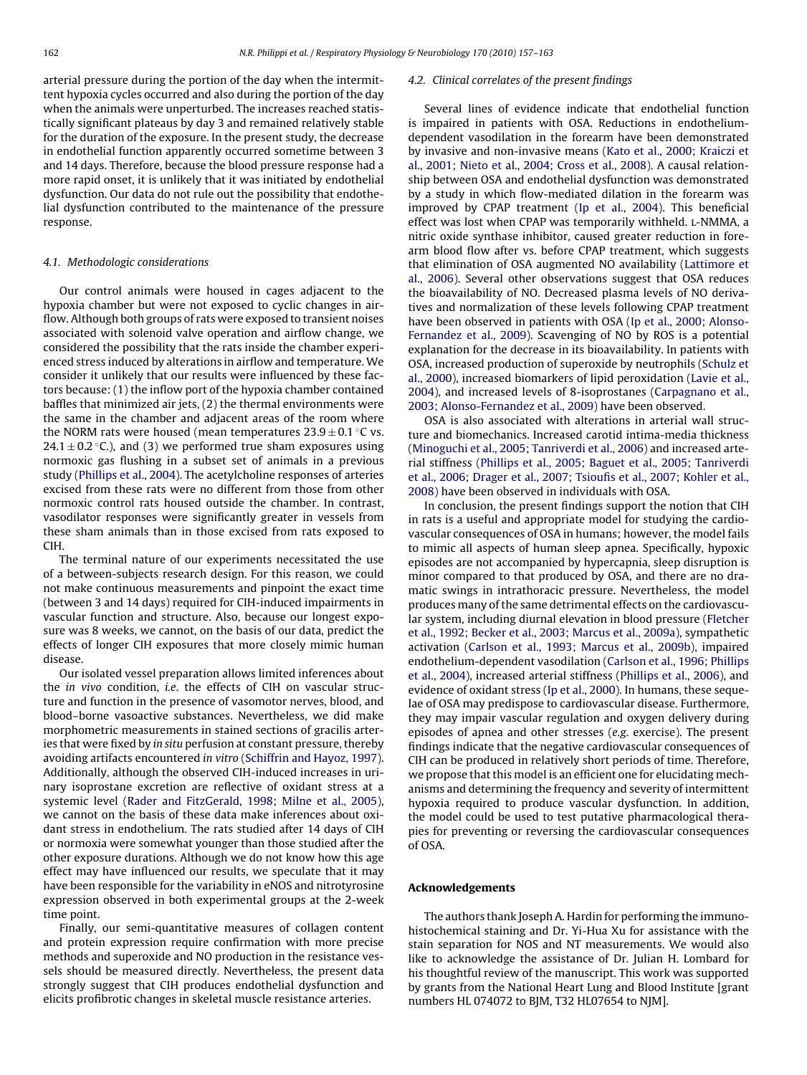arterial pressure during the portion of the day when the intermittent hypoxia cycles occurred and also during the portion of the day when the animals were unperturbed. The increases reached statistically significant plateaus by day 3 and remained relatively stable for the duration of the exposure. In the present study, the decrease in endothelial function apparently occurred sometime between 3 and 14 days. Therefore, because the blood pressure response had a more rapid onset, it is unlikely that it was initiated by endothelial dysfunction. Our data do not rule out the possibility that endothelial dysfunction contributed to the maintenance of the pressure response.

## 4.1. Methodologic considerations

Our control animals were housed in cages adjacent to the hypoxia chamber but were not exposed to cyclic changes in airflow. Although both groups of rats were exposed to transient noises associated with solenoid valve operation and airflow change, we considered the possibility that the rats inside the chamber experienced stress induced by alterations in airflow and temperature. We consider it unlikely that our results were influenced by these factors because: (1) the inflow port of the hypoxia chamber contained baffles that minimized air jets, (2) the thermal environments were the same in the chamber and adjacent areas of the room where the NORM rats were housed (mean temperatures  $23.9 \pm 0.1$  °C vs.  $24.1 \pm 0.2$  °C.), and (3) we performed true sham exposures using normoxic gas flushing in a subset set of animals in a previous study [\(Phillips et al., 2004\).](#page-6-0) The acetylcholine responses of arteries excised from these rats were no different from those from other normoxic control rats housed outside the chamber. In contrast, vasodilator responses were significantly greater in vessels from these sham animals than in those excised from rats exposed to CIH.

The terminal nature of our experiments necessitated the use of a between-subjects research design. For this reason, we could not make continuous measurements and pinpoint the exact time (between 3 and 14 days) required for CIH-induced impairments in vascular function and structure. Also, because our longest exposure was 8 weeks, we cannot, on the basis of our data, predict the effects of longer CIH exposures that more closely mimic human disease.

Our isolated vessel preparation allows limited inferences about the in vivo condition, i.e. the effects of CIH on vascular structure and function in the presence of vasomotor nerves, blood, and blood–borne vasoactive substances. Nevertheless, we did make morphometric measurements in stained sections of gracilis arteries that were fixed by in situ perfusion at constant pressure, thereby avoiding artifacts encountered in vitro [\(Schiffrin and Hayoz, 1997\).](#page-6-0) Additionally, although the observed CIH-induced increases in urinary isoprostane excretion are reflective of oxidant stress at a systemic level ([Rader and FitzGerald, 1998; Milne et al., 2005\),](#page-6-0) we cannot on the basis of these data make inferences about oxidant stress in endothelium. The rats studied after 14 days of CIH or normoxia were somewhat younger than those studied after the other exposure durations. Although we do not know how this age effect may have influenced our results, we speculate that it may have been responsible for the variability in eNOS and nitrotyrosine expression observed in both experimental groups at the 2-week time point.

Finally, our semi-quantitative measures of collagen content and protein expression require confirmation with more precise methods and superoxide and NO production in the resistance vessels should be measured directly. Nevertheless, the present data strongly suggest that CIH produces endothelial dysfunction and elicits profibrotic changes in skeletal muscle resistance arteries.

#### 4.2. Clinical correlates of the present findings

Several lines of evidence indicate that endothelial function is impaired in patients with OSA. Reductions in endotheliumdependent vasodilation in the forearm have been demonstrated by invasive and non-invasive means ([Kato et al., 2000; Kraiczi et](#page-6-0) [al., 2001; Nieto et al., 2004; Cross et al., 2008\).](#page-6-0) A causal relationship between OSA and endothelial dysfunction was demonstrated by a study in which flow-mediated dilation in the forearm was improved by CPAP treatment [\(Ip et al., 2004\).](#page-6-0) This beneficial effect was lost when CPAP was temporarily withheld. L-NMMA, a nitric oxide synthase inhibitor, caused greater reduction in forearm blood flow after vs. before CPAP treatment, which suggests that elimination of OSA augmented NO availability [\(Lattimore et](#page-6-0) [al., 2006\).](#page-6-0) Several other observations suggest that OSA reduces the bioavailability of NO. Decreased plasma levels of NO derivatives and normalization of these levels following CPAP treatment have been observed in patients with OSA ([Ip et al., 2000; Alonso-](#page-6-0)Fernandez [et al., 2009\).](#page-6-0) Scavenging of NO by ROS is a potential explanation for the decrease in its bioavailability. In patients with OSA, increased production of superoxide by neutrophils ([Schulz et](#page-6-0) [al., 2000\),](#page-6-0) increased biomarkers of lipid peroxidation [\(Lavie et al.,](#page-6-0) [2004\),](#page-6-0) and increased levels of 8-isoprostanes [\(Carpagnano et al.,](#page-6-0) [2003; Alonso-Fernandez et al., 2009\)](#page-6-0) have been observed.

OSA is also associated with alterations in arterial wall structure and biomechanics. Increased carotid intima-media thickness [\(Minoguchi et al., 2005; Tanriverdi et al., 2006\) a](#page-6-0)nd increased arterial stiffness ([Phillips et al., 2005; Baguet et al., 2005; Tanriverdi](#page-6-0) [et al., 2006; Drager et al., 2007; Tsioufis et al., 2007; Kohler et al.,](#page-6-0) [2008\) h](#page-6-0)ave been observed in individuals with OSA.

In conclusion, the present findings support the notion that CIH in rats is a useful and appropriate model for studying the cardiovascular consequences of OSA in humans; however, the model fails to mimic all aspects of human sleep apnea. Specifically, hypoxic episodes are not accompanied by hypercapnia, sleep disruption is minor compared to that produced by OSA, and there are no dramatic swings in intrathoracic pressure. Nevertheless, the model produces many of the same detrimental effects on the cardiovascular system, including diurnal elevation in blood pressure [\(Fletcher](#page-6-0) [et al., 1992; Becker et al., 2003; Marcus et al., 2009a\),](#page-6-0) sympathetic activation ([Carlson et al., 1993; Marcus et al., 2009b\),](#page-6-0) impaired endothelium-dependent vasodilation [\(Carlson et al., 1996; Phillips](#page-6-0) [et al., 2004\),](#page-6-0) increased arterial stiffness ([Phillips et al., 2006\),](#page-6-0) and evidence of oxidant stress [\(Ip et al., 2000\).](#page-6-0) In humans, these sequelae of OSA may predispose to cardiovascular disease. Furthermore, they may impair vascular regulation and oxygen delivery during episodes of apnea and other stresses (e.g. exercise). The present findings indicate that the negative cardiovascular consequences of CIH can be produced in relatively short periods of time. Therefore, we propose that this model is an efficient one for elucidating mechanisms and determining the frequency and severity of intermittent hypoxia required to produce vascular dysfunction. In addition, the model could be used to test putative pharmacological therapies for preventing or reversing the cardiovascular consequences of OSA.

## **Acknowledgements**

The authors thank Joseph A. Hardin for performing the immunohistochemical staining and Dr. Yi-Hua Xu for assistance with the stain separation for NOS and NT measurements. We would also like to acknowledge the assistance of Dr. Julian H. Lombard for his thoughtful review of the manuscript. This work was supported by grants from the National Heart Lung and Blood Institute [grant numbers HL 074072 to BJM, T32 HL07654 to NJM].